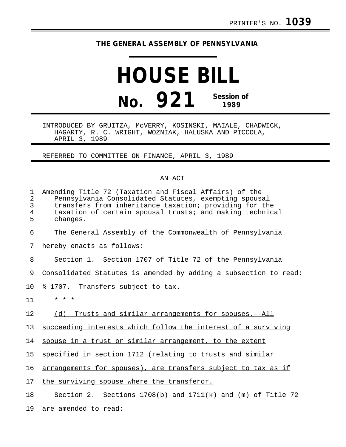## **THE GENERAL ASSEMBLY OF PENNSYLVANIA**

## **HOUSE BILL No. 921 Session of 1989**

INTRODUCED BY GRUITZA, McVERRY, KOSINSKI, MAIALE, CHADWICK, HAGARTY, R. C. WRIGHT, WOZNIAK, HALUSKA AND PICCOLA, APRIL 3, 1989

REFERRED TO COMMITTEE ON FINANCE, APRIL 3, 1989

## AN ACT

| 1<br>$\overline{2}$<br>3<br>$\overline{4}$<br>5 | Amending Title 72 (Taxation and Fiscal Affairs) of the<br>Pennsylvania Consolidated Statutes, exempting spousal<br>transfers from inheritance taxation; providing for the<br>taxation of certain spousal trusts; and making technical<br>changes. |
|-------------------------------------------------|---------------------------------------------------------------------------------------------------------------------------------------------------------------------------------------------------------------------------------------------------|
| 6                                               | The General Assembly of the Commonwealth of Pennsylvania                                                                                                                                                                                          |
| 7                                               | hereby enacts as follows:                                                                                                                                                                                                                         |
| 8                                               | Section 1. Section 1707 of Title 72 of the Pennsylvania                                                                                                                                                                                           |
| 9                                               | Consolidated Statutes is amended by adding a subsection to read:                                                                                                                                                                                  |
| 10                                              | § 1707. Transfers subject to tax.                                                                                                                                                                                                                 |
| 11                                              | $\star$ $\star$ $\star$                                                                                                                                                                                                                           |
| 12                                              | (d) Trusts and similar arrangements for spouses.--All                                                                                                                                                                                             |
| 13                                              | succeeding interests which follow the interest of a surviving                                                                                                                                                                                     |
| 14                                              | spouse in a trust or similar arrangement, to the extent                                                                                                                                                                                           |
| 15                                              | specified in section 1712 (relating to trusts and similar                                                                                                                                                                                         |
| 16                                              | arrangements for spouses), are transfers subject to tax as if                                                                                                                                                                                     |
| 17                                              | the surviving spouse where the transferor.                                                                                                                                                                                                        |
| 18                                              | Section 2. Sections $1708(b)$ and $1711(k)$ and (m) of Title 72                                                                                                                                                                                   |
| 19                                              | are amended to read:                                                                                                                                                                                                                              |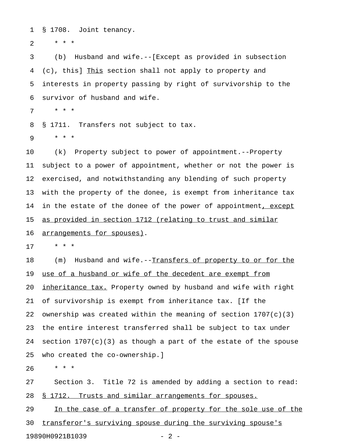1 § 1708. Joint tenancy.

2  $* * * *$ 

3 (b) Husband and wife.--[Except as provided in subsection 4 (c), this] This section shall not apply to property and 5 interests in property passing by right of survivorship to the 6 survivor of husband and wife.

7 \* \* \*

8 § 1711. Transfers not subject to tax.

9 \* \* \*

10 (k) Property subject to power of appointment.--Property 11 subject to a power of appointment, whether or not the power is 12 exercised, and notwithstanding any blending of such property 13 with the property of the donee, is exempt from inheritance tax 14 in the estate of the donee of the power of appointment, except 15 as provided in section 1712 (relating to trust and similar

16 arrangements for spouses).

17 \* \* \*

18 (m) Husband and wife.--Transfers of property to or for the 19 use of a husband or wife of the decedent are exempt from 20 <u>inheritance tax.</u> Property owned by husband and wife with right 21 of survivorship is exempt from inheritance tax. [If the 22 ownership was created within the meaning of section  $1707(c)(3)$ 23 the entire interest transferred shall be subject to tax under 24 section  $1707(c)(3)$  as though a part of the estate of the spouse 25 who created the co-ownership.]

26 \* \* \*

27 Section 3. Title 72 is amended by adding a section to read: 28 § 1712. Trusts and similar arrangements for spouses.

29 In the case of a transfer of property for the sole use of the 30 transferor's surviving spouse during the surviving spouse's 19890H0921B1039 - 2 -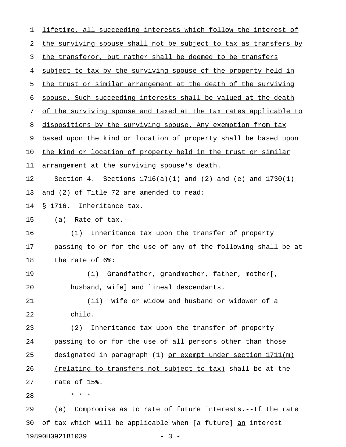| $\mathbf 1$ | lifetime, all succeeding interests which follow the interest of    |
|-------------|--------------------------------------------------------------------|
| 2           | the surviving spouse shall not be subject to tax as transfers by   |
| 3           | the transferor, but rather shall be deemed to be transfers         |
| 4           | subject to tax by the surviving spouse of the property held in     |
| 5           | the trust or similar arrangement at the death of the surviving     |
| 6           | spouse. Such succeeding interests shall be valued at the death     |
| 7           | of the surviving spouse and taxed at the tax rates applicable to   |
| 8           | dispositions by the surviving spouse. Any exemption from tax       |
| 9           | based upon the kind or location of property shall be based upon    |
| 10          | the kind or location of property held in the trust or similar      |
| 11          | arrangement at the surviving spouse's death.                       |
| 12          | Section 4. Sections $1716(a)(1)$ and $(2)$ and $(e)$ and $1730(1)$ |
| 13          | and (2) of Title 72 are amended to read:                           |
| 14          | § 1716. Inheritance tax.                                           |
| 15          | $(a)$ Rate of tax.--                                               |
| 16          | Inheritance tax upon the transfer of property<br>(1)               |
| 17          | passing to or for the use of any of the following shall be at      |
| 18          | the rate of 6%:                                                    |
| 19          | Grandfather, grandmother, father, mother[,<br>(i)                  |
| 20          | husband, wife] and lineal descendants.                             |
| 21          | (ii) Wife or widow and husband or widower of a                     |
| 22          | child.                                                             |
| 23          | Inheritance tax upon the transfer of property<br>(2)               |
| 24          | passing to or for the use of all persons other than those          |
| 25          | designated in paragraph $(1)$ or exempt under section $1711(m)$    |
| 26          | (relating to transfers not subject to tax) shall be at the         |
| 27          | rate of 15%.                                                       |
| 28          | * * *                                                              |
| 29          | (e) Compromise as to rate of future interests.--If the rate        |
|             |                                                                    |

19890H0921B1039 - 3 -

30 of tax which will be applicable when [a future]  $\underline{an}$  interest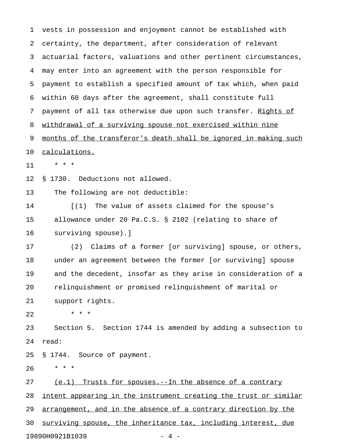1 vests in possession and enjoyment cannot be established with 2 certainty, the department, after consideration of relevant 3 actuarial factors, valuations and other pertinent circumstances, 4 may enter into an agreement with the person responsible for 5 payment to establish a specified amount of tax which, when paid 6 within 60 days after the agreement, shall constitute full 7 payment of all tax otherwise due upon such transfer. Rights of 8 withdrawal of a surviving spouse not exercised within nine 9 months of the transferor's death shall be ignored in making such 10 calculations. 11 \* \* \* 12 § 1730. Deductions not allowed. 13 The following are not deductible: 14 [(1) The value of assets claimed for the spouse's 15 allowance under 20 Pa.C.S. § 2102 (relating to share of 16 surviving spouse).] 17 (2) Claims of a former [or surviving] spouse, or others, 18 under an agreement between the former [or surviving] spouse 19 and the decedent, insofar as they arise in consideration of a 20 relinquishment or promised relinquishment of marital or 21 support rights. 22 \* \* \* 23 Section 5. Section 1744 is amended by adding a subsection to 24 read: 25 § 1744. Source of payment. 26 \* \* \* 27 (e.1) Trusts for spouses.--In the absence of a contrary 28 intent appearing in the instrument creating the trust or similar 29 arrangement, and in the absence of a contrary direction by the 30 surviving spouse, the inheritance tax, including interest, due

19890H0921B1039 - 4 -